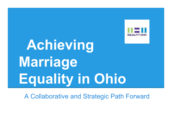

# **Achieving Marriage Equality in Ohio**

A Collaborative and Strategic Path Forward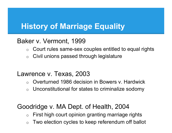#### Baker v. Vermont, 1999

- $\circ$  Court rules same-sex couples entitled to equal rights
- $\circ$  Civil unions passed through legislature

#### Lawrence v. Texas, 2003

- o Overturned 1986 decision in Bowers v. Hardwick
- $\circ$  Unconstitutional for states to criminalize sodomy

#### Goodridge v. MA Dept. of Health, 2004

- $\circ$  First high court opinion granting marriage rights
- $\circ$  Two election cycles to keep referendum off ballot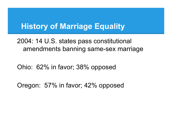2004: 14 U.S. states pass constitutional amendments banning same-sex marriage

Ohio: 62% in favor; 38% opposed

Oregon: 57% in favor; 42% opposed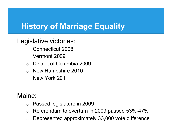## Legislative victories:

- o Connecticut 2008
- o Vermont 2009
- o District of Columbia 2009
- o New Hampshire 2010
- o New York 2011

Maine:

- o Passed legislature in 2009
- $\circ$  Referendum to overturn in 2009 passed 53%-47%
- o Represented approximately 33,000 vote difference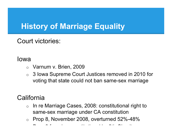Court victories:

#### Iowa

- o Varnum v. Brien, 2009
- o 3 Iowa Supreme Court Justices removed in 2010 for voting that state could not ban same-sex marriage

## **California**

- o In re Marriage Cases, 2008: constitutional right to same-sex marriage under CA constitution
- $\circ$  Prop 8, November 2008, overturned 52%-48%

o Prop 8 found unconstitutional by 9th Circuit,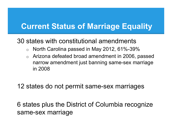#### 30 states with constitutional amendments

- $\circ$  North Carolina passed in May 2012, 61%-39%
- $\circ$  Arizona defeated broad amendment in 2006, passed narrow amendment just banning same-sex marriage in 2008

#### 12 states do not permit same-sex marriages

6 states plus the District of Columbia recognize same-sex marriage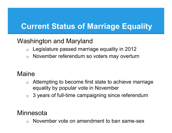#### Washington and Maryland

- $\circ$  Legislature passed marriage equality in 2012
- o November referendum so voters may overturn

#### Maine

- $\circ$  Attempting to become first state to achieve marriage equality by popular vote in November
- $\circ$  3 years of full-time campaigning since referendum

#### **Minnesota**

November vote on amendment to ban same-sex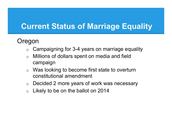#### Oregon

- $\circ$  Campaigning for 3-4 years on marriage equality
- $\circ$  Millions of dollars spent on media and field campaign
- $\circ$  Was looking to become first state to overturn constitutional amendment
- o Decided 2 more years of work was necessary
- $\circ$  Likely to be on the ballot on 2014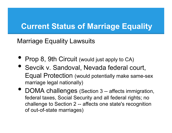Marriage Equality Lawsuits

- Prop 8, 9th Circuit (would just apply to CA)
- Sevcik v. Sandoval, Nevada federal court, Equal Protection (would potentially make same-sex marriage legal nationally)
- DOMA challenges (Section 3 -- affects immigration, federal taxes, Social Security and all federal rights; no challenge to Section 2 -- affects one state's recognition of out-of-state marriages)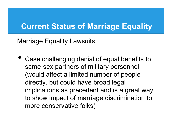Marriage Equality Lawsuits

• Case challenging denial of equal benefits to same-sex partners of military personnel (would affect a limited number of people directly, but could have broad legal implications as precedent and is a great way to show impact of marriage discrimination to more conservative folks)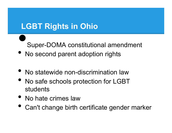# **LGBT Rights in Ohio**  <u>اء</u><br>•<br>• •

Super-DOMA constitutional amendment

- No second parent adoption rights
- No statewide non-discrimination law
- No safe schools protection for LGBT students
- No hate crimes law
- Can't change birth certificate gender marker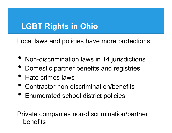# **LGBT Rights in Ohio**

Local laws and policies have more protections:

- Non-discrimination laws in 14 jurisdictions
- Domestic partner benefits and registries
- Hate crimes laws
- Contractor non-discrimination/benefits
- Enumerated school district policies

Private companies non-discrimination/partner benefits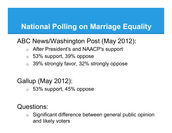## **National Polling on Marriage Equality**

## ABC News/Washington Post (May 2012):

- o After President's and NAACP's support
- o 53% support, 39% oppose
- $\circ$  39% strongly favor, 32% strongly oppose

## Gallup (May 2012):

 $\circ$  53% support, 45% oppose

Questions:

o Significant difference between general public opinion and likely voters